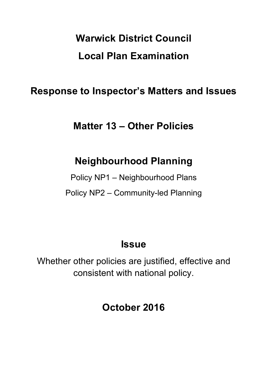# **Warwick District Council Local Plan Examination**

### **Response to Inspector's Matters and Issues**

### **Matter 13 – Other Policies**

### **Neighbourhood Planning**

Policy NP1 – Neighbourhood Plans Policy NP2 – Community-led Planning

### **Issue**

Whether other policies are justified, effective and consistent with national policy.

## **October 2016**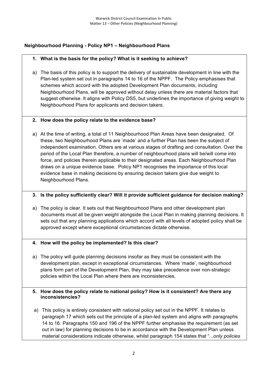#### **Neighbourhood Planning - Policy NP1 – Neighbourhood Plans**

#### **1. What is the basis for the policy? What is it seeking to achieve?**

a) The basis of this policy is to support the delivery of sustainable development in line with the Plan-led system set out in paragraphs 14 to 16 of the NPPF. The Policy emphasises that schemes which accord with the adopted Development Plan documents, including Neighbourhood Plans, will be approved without delay unless there are material factors that suggest otherwise. It aligns with Policy DS5, but underlines the importance of giving weight to Neighbourhood Plans for applicants and decision takers.

#### **2. How does the policy relate to the evidence base?**

a) At the time of writing, a total of 11 Neighbourhood Plan Areas have been designated. Of these, two Neighbourhood Plans are 'made' and a further Plan has been the subject of independent examination. Others are at various stages of drafting and consultation. Over the period of the Local Plan therefore, a number of neighbourhood plans will be/will come into force, and policies therein applicable to their designated areas. Each Neighbourhood Plan draws on a unique evidence base. Policy NP1 recognises the importance of this local evidence base in making decisions by ensuring decision takers give due weight to Neighbourhood Plans.

#### **3. Is the policy sufficiently clear? Will it provide sufficient guidance for decision making?**

- a) The policy is clear. It sets out that Neighbourhood Plans and other development plan documents must all be given weight alongside the Local Plan in making planning decisions. It sets out that any planning applications which accord with all levels of adopted policy shall be approved except where exceptional circumstances dictate otherwise.
- **4. How will the policy be implemented? Is this clear?**
- a) The policy will guide planning decisions insofar as they must be consistent with the development plan, except in exceptional circumstances. Where 'made', neighbourhood plans form part of the Development Plan, they may take precedence over non-strategic policies within the Local Plan where there are inconsistencies.

#### **5. How does the policy relate to national policy? How is it consistent? Are there any inconsistencies?**

a) This policy is entirely consistent with national policy set out in the NPPF. It relates to paragraph 17 which sets out the principle of a plan-led system and aligns with paragraphs 14 to 16. Paragraphs 150 and 196 of the NPPF further emphasise the requirement (as set out in law) for planning decisions to be in accordance with the Development Plan unless material considerations indicate otherwise, whilst paragraph 154 states that "...*only policies*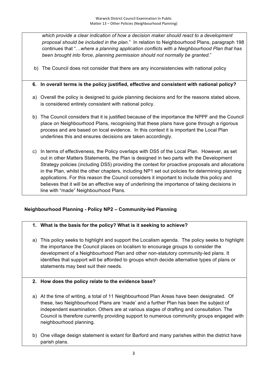*which provide a clear indication of how a decision maker should react to a development proposal should be included in the plan.*" In relation to Neighbourhood Plans, paragraph 198 continues that "…*where a planning application conflicts with a Neighbourhood Plan that has been brought into force, planning permission should not normally be granted*."

b) The Council does not consider that there are any inconsistencies with national policy

#### **6. In overall terms is the policy justified, effective and consistent with national policy?**

- a) Overall the policy is designed to guide planning decisions and for the reasons stated above, is considered entirely consistent with national policy.
- b) The Council considers that it is justified because of the importance the NPPF and the Council place on Neighbourhood Plans, recognising that these plans have gone through a rigorous process and are based on local evidence. In this context it is important the Local Plan underlines this and ensures decisions are taken accordingly.
- c) In terms of effectiveness, the Policy overlaps with DS5 of the Local Plan. However, as set out in other Matters Statements, the Plan is designed in two parts with the Development Strategy policies (including DS5) providing the context for proactive proposals and allocations in the Plan, whilst the other chapters, including NP1 set out policies for determining planning applications. For this reason the Council considers it important to include this policy and believes that it will be an effective way of underlining the importance of taking decisions in line with "made" Neighbourhood Plans.

#### **Neighbourhood Planning - Policy NP2 – Community-led Planning**

#### **1. What is the basis for the policy? What is it seeking to achieve?**

a) This policy seeks to highlight and support the Localism agenda. The policy seeks to highlight the importance the Council places on localism to encourage groups to consider the development of a Neighbourhood Plan and other non-statutory community-led plans. It identifies that support will be afforded to groups which decide alternative types of plans or statements may best suit their needs.

#### **2. How does the policy relate to the evidence base?**

- a) At the time of writing, a total of 11 Neighbourhood Plan Areas have been designated. Of these, two Neighbourhood Plans are 'made' and a further Plan has been the subject of independent examination. Others are at various stages of drafting and consultation. The Council is therefore currently providing support to numerous community groups engaged with neighbourhood planning.
- b) One village design statement is extant for Barford and many parishes within the district have parish plans.